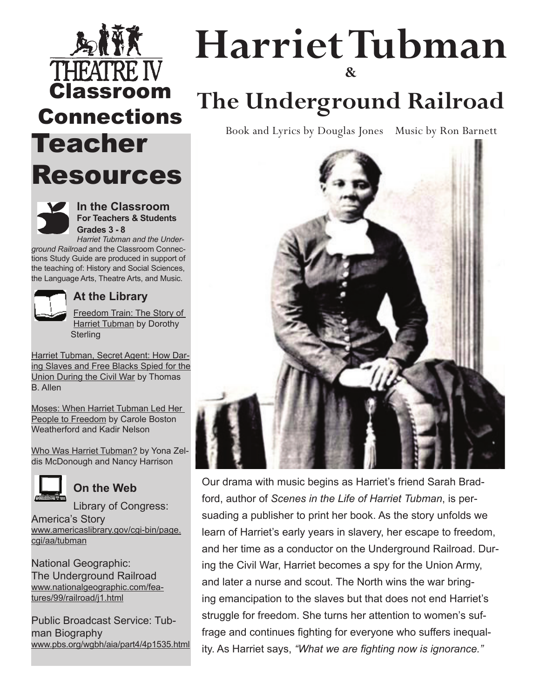## THEAT Classroom Connections Teacher Resources



**In the Classroom For Teachers & Students Grades 3 - 8**

*Harriet Tubman and the Underground Railroad* and the Classroom Connections Study Guide are produced in support of the teaching of: History and Social Sciences, the Language Arts, Theatre Arts, and Music.



### **At the Library**

Freedom Train: The Story of **Harriet Tubman by Dorothy Sterling** 

Harriet Tubman, Secret Agent: How Daring Slaves and Free Blacks Spied for the Union During the Civil War by Thomas B. Allen

Moses: When Harriet Tubman Led Her People to Freedom by Carole Boston Weatherford and Kadir Nelson

Who Was Harriet Tubman? by Yona Zeldis McDonough and Nancy Harrison



### **On the Web**

Library of Congress:

America's Story www.americaslibrary.gov/cgi-bin/page. cgi/aa/tubman

National Geographic: The Underground Railroad www.nationalgeographic.com/features/99/railroad/j1.html

Public Broadcast Service: Tubman Biography www.pbs.org/wgbh/aia/part4/4p1535.html

## **Harriet Tubman &**

## **The Underground Railroad**

Book and Lyrics by Douglas Jones Music by Ron Barnett



Our drama with music begins as Harriet's friend Sarah Bradford, author of *Scenes in the Life of Harriet Tubman*, is persuading a publisher to print her book. As the story unfolds we learn of Harriet's early years in slavery, her escape to freedom, and her time as a conductor on the Underground Railroad. During the Civil War, Harriet becomes a spy for the Union Army, and later a nurse and scout. The North wins the war bringing emancipation to the slaves but that does not end Harriet's struggle for freedom. She turns her attention to women's suffrage and continues fighting for everyone who suffers inequality. As Harriet says, *"What we are fighting now is ignorance."*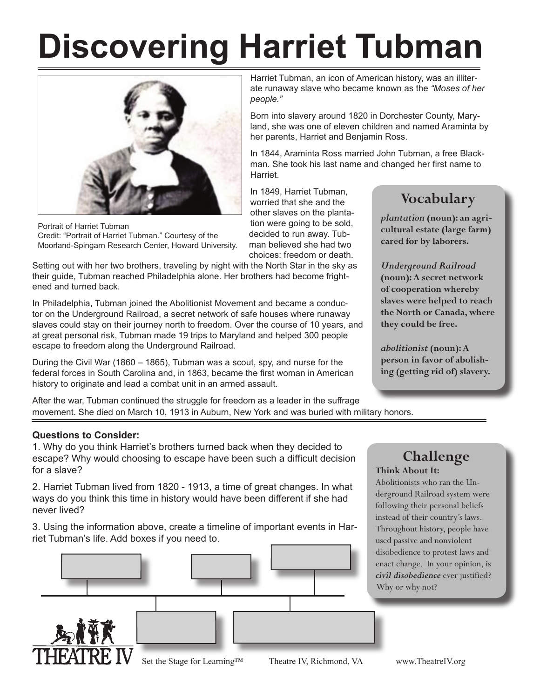# **Discovering Harriet Tubman**



Portrait of Harriet Tubman Credit: "Portrait of Harriet Tubman." Courtesy of the Moorland-Spingarn Research Center, Howard University.

Setting out with her two brothers, traveling by night with the North Star in the sky as their guide, Tubman reached Philadelphia alone. Her brothers had become frightened and turned back.

In Philadelphia, Tubman joined the Abolitionist Movement and became a conductor on the Underground Railroad, a secret network of safe houses where runaway slaves could stay on their journey north to freedom. Over the course of 10 years, and at great personal risk, Tubman made 19 trips to Maryland and helped 300 people escape to freedom along the Underground Railroad.

During the Civil War (1860 – 1865), Tubman was a scout, spy, and nurse for the federal forces in South Carolina and, in 1863, became the first woman in American history to originate and lead a combat unit in an armed assault.

After the war, Tubman continued the struggle for freedom as a leader in the suffrage movement. She died on March 10, 1913 in Auburn, New York and was buried with military honors.

#### **Questions to Consider:**

1. Why do you think Harriet's brothers turned back when they decided to escape? Why would choosing to escape have been such a difficult decision for a slave?

2. Harriet Tubman lived from 1820 - 1913, a time of great changes. In what ways do you think this time in history would have been different if she had never lived?

3. Using the information above, create a timeline of important events in Harriet Tubman's life. Add boxes if you need to.



Harriet Tubman, an icon of American history, was an illiterate runaway slave who became known as the *"Moses of her people."* 

Born into slavery around 1820 in Dorchester County, Maryland, she was one of eleven children and named Araminta by her parents, Harriet and Benjamin Ross.

In 1844, Araminta Ross married John Tubman, a free Blackman. She took his last name and changed her first name to Harriet.

In 1849, Harriet Tubman, worried that she and the other slaves on the plantation were going to be sold, decided to run away. Tubman believed she had two choices: freedom or death.

### **Vocabulary**

*plantation* **(noun): an agricultural estate (large farm) cared for by laborers.**

*Underground Railroad* **(noun): A secret network of cooperation whereby slaves were helped to reach the North or Canada, where they could be free.**

*abolitionist* **(noun): A person in favor of abolishing (getting rid of) slavery.**

### **Challenge Think About It:**

Abolitionists who ran the Underground Railroad system were following their personal beliefs instead of their country's laws. Throughout history, people have used passive and nonviolent disobedience to protest laws and enact change. In your opinion, is *civil disobedience* ever justified? Why or why not?

Set the Stage for Learning™ Theatre IV, Richmond, VA www.TheatreIV.org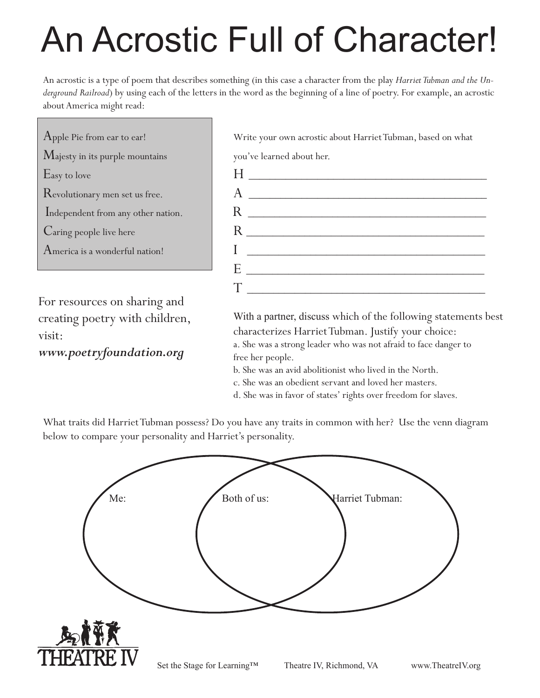# An Acrostic Full of Character!

An acrostic is a type of poem that describes something (in this case a character from the play *Harriet Tubman and the Underground Railroad*) by using each of the letters in the word as the beginning of a line of poetry. For example, an acrostic about America might read:

Majesty in its purple mountains vou've learned about her.  $\rm A$ merica is a wonderful nation! $\rm I$ 

For resources on sharing and creating poetry with children, visit:

www.poetryfoundation.org and the her people.

Apple Pie from ear to ear! Write your own acrostic about Harriet Tubman, based on what



 With a partner, discuss which of the following statements best characterizes HarrietTubman. Justify your choice:

 a. She was a strong leader who was not afraid to face danger to 

- b. She was an avid abolitionist who lived in the North.
- c. She was an obedient servant and loved her masters.
- d. She was in favor of states' rights over freedom for slaves.

What traits did Harriet Tubman possess? Do you have any traits in common with her? Use the venn diagram below to compare your personality and Harriet's personality.

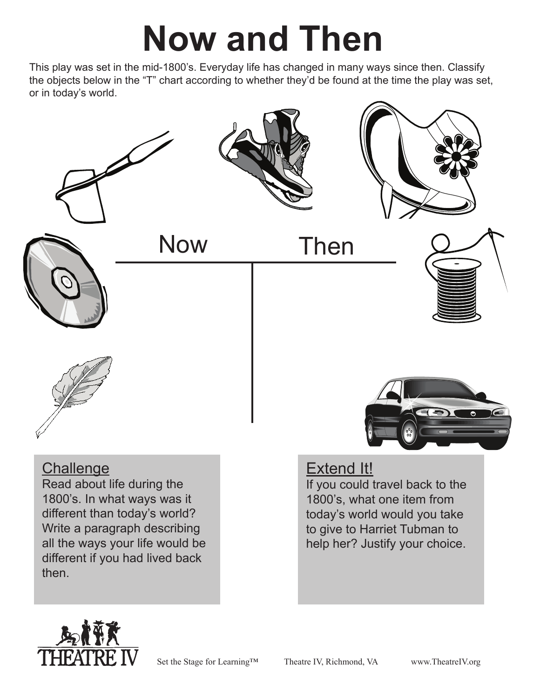# **Now and Then**

This play was set in the mid-1800's. Everyday life has changed in many ways since then. Classify the objects below in the "T" chart according to whether they'd be found at the time the play was set, or in today's world.





Now Then







### **Challenge**

Read about life during the 1800's. In what ways was it different than today's world? Write a paragraph describing all the ways your life would be different if you had lived back then.

# Extend It!

If you could travel back to the 1800's, what one item from today's world would you take to give to Harriet Tubman to help her? Justify your choice.



Set the Stage for Learning™ Theatre IV, Richmond, VA www.TheatreIV.org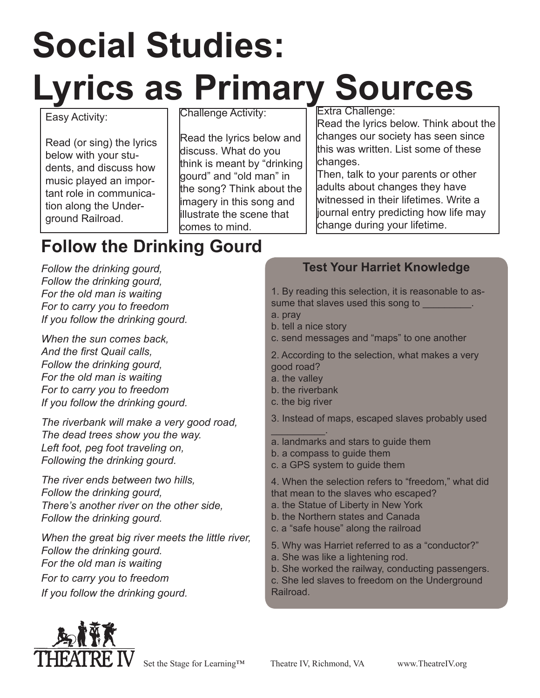# **Social Studies: Lyrics as Primary Sources**

### Easy Activity:

Read (or sing) the lyrics below with your students, and discuss how music played an important role in communication along the Underground Railroad.

Challenge Activity:

Read the lyrics below and discuss. What do you think is meant by "drinking gourd" and "old man" in the song? Think about the imagery in this song and illustrate the scene that comes to mind.

Extra Challenge:

Read the lyrics below. Think about the changes our society has seen since this was written. List some of these changes.

Then, talk to your parents or other adults about changes they have witnessed in their lifetimes. Write a journal entry predicting how life may change during your lifetime.

## **Follow the Drinking Gourd**

*Follow the drinking gourd, Follow the drinking gourd, For the old man is waiting For to carry you to freedom If you follow the drinking gourd.*

*When the sun comes back, And the first Quail calls, Follow the drinking gourd, For the old man is waiting For to carry you to freedom If you follow the drinking gourd.*

*The riverbank will make a very good road, The dead trees show you the way. Left foot, peg foot traveling on, Following the drinking gourd.*

*The river ends between two hills, Follow the drinking gourd, There's another river on the other side, Follow the drinking gourd.*

*When the great big river meets the little river, Follow the drinking gourd. For the old man is waiting For to carry you to freedom If you follow the drinking gourd.*

### **Test Your Harriet Knowledge**

1. By reading this selection, it is reasonable to assume that slaves used this song to

a. pray

- b. tell a nice story
- c. send messages and "maps" to one another

2. According to the selection, what makes a very good road?

- a. the valley
- b. the riverbank
- c. the big river

3. Instead of maps, escaped slaves probably used

- $\overline{\phantom{a}}$  . The set of  $\overline{\phantom{a}}$ a. landmarks and stars to guide them
- b. a compass to guide them
- c. a GPS system to guide them

4. When the selection refers to "freedom," what did that mean to the slaves who escaped?

- a. the Statue of Liberty in New York
- b. the Northern states and Canada
- c. a "safe house" along the railroad
- 5. Why was Harriet referred to as a "conductor?"
- a. She was like a lightening rod.
- b. She worked the railway, conducting passengers.

c. She led slaves to freedom on the Underground Railroad.